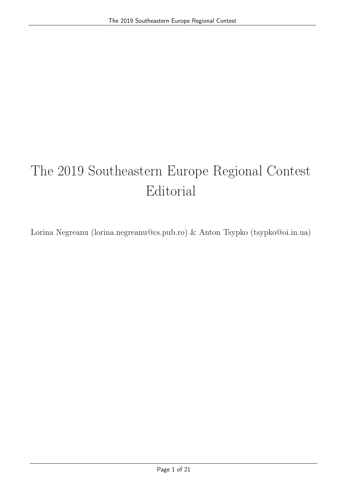# The 2019 Southeastern Europe Regional Contest Editorial

Lorina Negreanu (lorina.negreanu@cs.pub.ro) & Anton Tsypko (tsypko@oi.in.ua)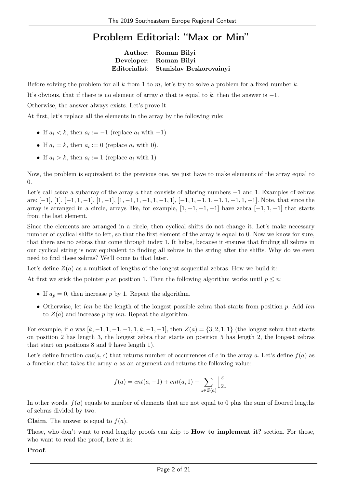#### Problem Editorial: "Max or Min"

Author: Roman Bilyi Developer: Roman Bilyi Editorialist: Stanislav Bezkorovainyi

Before solving the problem for all k from 1 to m, let's try to solve a problem for a fixed number k.

It's obvious, that if there is no element of array a that is equal to k, then the answer is  $-1$ .

Otherwise, the answer always exists. Let's prove it.

At first, let's replace all the elements in the array by the following rule:

- If  $a_i < k$ , then  $a_i := -1$  (replace  $a_i$  with  $-1$ )
- If  $a_i = k$ , then  $a_i := 0$  (replace  $a_i$  with 0).
- If  $a_i > k$ , then  $a_i := 1$  (replace  $a_i$  with 1)

Now, the problem is equivalent to the previous one, we just have to make elements of the array equal to 0.

Let's call zebra a subarray of the array a that consists of altering numbers −1 and 1. Examples of zebras are:  $[-1], [1], [-1, 1, -1], [1, -1], [1, -1, 1, -1, 1, -1, 1], [-1, 1, -1, 1, -1, 1, -1, 1, -1].$  Note, that since the array is arranged in a circle, arrays like, for example,  $[1, -1, -1, -1]$  have zebra  $[-1, 1, -1]$  that starts from the last element.

Since the elements are arranged in a circle, then cyclical shifts do not change it. Let's make necessary number of cyclical shifts to left, so that the first element of the array is equal to 0. Now we know for sure, that there are no zebras that come through index 1. It helps, because it ensures that finding all zebras in our cyclical string is now equivalent to finding all zebras in the string after the shifts. Why do we even need to find these zebras? We'll come to that later.

Let's define  $Z(a)$  as a multiset of lengths of the longest sequential zebras. How we build it:

At first we stick the pointer p at position 1. Then the following algorithm works until  $p \leq n$ :

- If  $a_p = 0$ , then increase p by 1. Repeat the algorithm.
- Otherwise, let len be the length of the longest possible zebra that starts from position  $p$ . Add len to  $Z(a)$  and increase p by len. Repeat the algorithm.

For example, if a was  $[k, -1, 1, -1, -1, 1, k, -1, -1]$ , then  $Z(a) = \{3, 2, 1, 1\}$  (the longest zebra that starts on position 2 has length 3, the longest zebra that starts on position 5 has length 2, the longest zebras that start on positions 8 and 9 have length 1).

Let's define function  $cnt(a, c)$  that returns number of occurrences of c in the array a. Let's define  $f(a)$  as a function that takes the array a as an argument and returns the following value:

$$
f(a) = cnt(a, -1) + cnt(a, 1) + \sum_{z \in Z(a)} \left\lfloor \frac{z}{2} \right\rfloor
$$

In other words,  $f(a)$  equals to number of elements that are not equal to 0 plus the sum of floored lengths of zebras divided by two.

**Claim.** The answer is equal to  $f(a)$ .

Those, who don't want to read lengthy proofs can skip to **How to implement it?** section. For those, who want to read the proof, here it is:

#### Proof.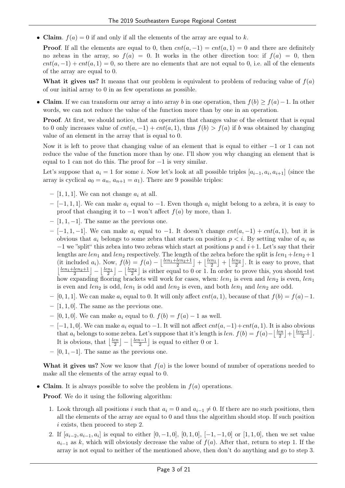• Claim.  $f(a) = 0$  if and only if all the elements of the array are equal to k.

**Proof.** If all the elements are equal to 0, then  $cnt(a, -1) = cnt(a, 1) = 0$  and there are definitely no zebras in the array, so  $f(a) = 0$ . It works in the other direction too: if  $f(a) = 0$ , then  $cnt(a, -1) + cnt(a, 1) = 0$ , so there are no elements that are not equal to 0, i.e. all of the elements of the array are equal to 0.

What it gives us? It means that our problem is equivalent to problem of reducing value of  $f(a)$ of our initial array to 0 in as few operations as possible.

• Claim. If we can transform our array a into array b in one operation, then  $f(b) \ge f(a) - 1$ . In other words, we can not reduce the value of the function more than by one in an operation.

Proof. At first, we should notice, that an operation that changes value of the element that is equal to 0 only increases value of  $cnt(a, -1) + cnt(a, 1)$ , thus  $f(b) > f(a)$  if b was obtained by changing value of an element in the array that is equal to 0.

Now it is left to prove that changing value of an element that is equal to either −1 or 1 can not reduce the value of the function more than by one. I'll show you why changing an element that is equal to 1 can not do this. The proof for  $-1$  is very similar.

Let's suppose that  $a_i = 1$  for some i. Now let's look at all possible triples  $[a_{i-1}, a_i, a_{i+1}]$  (since the array is cyclical  $a_0 = a_n$ ,  $a_{n+1} = a_1$ ). There are 9 possible triples:

- [1, 1, 1]. We can not change  $a_i$  at all.
- $-$  [−1, 1, 1]. We can make  $a_i$  equal to −1. Even though  $a_i$  might belong to a zebra, it is easy to proof that changing it to  $-1$  won't affect  $f(a)$  by more, than 1.
- $-$  [1, 1, -1]. The same as the previous one.
- [-1, 1, -1]. We can make  $a_i$  equal to -1. It doesn't change  $cnt(a, -1) + cnt(a, 1)$ , but it is obvious that  $a_i$  belongs to some zebra that starts on position  $p < i$ . By setting value of  $a_i$  as  $-1$  we "split" this zebra into two zebras which start at positions p and  $i+1$ . Let's say that their lengths are  $len_1$  and  $len_2$  respectively. The length of the zebra before the split is  $len_1 + len_2 + 1$ (it included a<sub>i</sub>). Now,  $f(b) = f(a) - \left\lfloor \frac{len_1 + len_2 + 1}{2} \right\rfloor + \left\lfloor \frac{len_1}{2} \right\rfloor + \left\lfloor \frac{len_2}{2} \right\rfloor$ . It is easy to prove, that  $\lfloor \frac{len_1+len_2+1}{2}\rfloor - \lfloor \frac{len_1}{2}\rfloor - \lfloor \frac{len_2}{2}\rfloor$  is either equal to 0 or 1. In order to prove this, you should test how expanding flooring brackets will work for cases, when:  $len_1$  is even and  $len_2$  is even,  $len_1$ is even and len<sub>2</sub> is odd, len<sub>1</sub> is odd and len<sub>2</sub> is even, and both len<sub>1</sub> and len<sub>2</sub> are odd.
- [0, 1, 1]. We can make  $a_i$  equal to 0. It will only affect  $cnt(a, 1)$ , because of that  $f(b) = f(a) 1$ .
- $-$  [1, 1, 0]. The same as the previous one.
- [0, 1, 0]. We can make  $a_i$  equal to 0.  $f(b) = f(a) 1$  as well.
- $-[-1,1,0]$ . We can make  $a_i$  equal to  $-1$ . It will not affect  $cnt(a, -1)+cnt(a, 1)$ . It is also obvious that  $a_i$  belongs to some zebra. Let's suppose that it's length is *len.*  $f(b) = f(a) - \frac{len}{2}$  $\left\lfloor\frac{len-1}{2}\right\rfloor+\left\lfloor\frac{len-1}{2}\right\rfloor$  $\frac{i-1}{2}$ . It is obvious, that  $\frac{len}{2}$  $\left\lfloor \frac{len-1}{2} \right\rfloor - \left\lfloor \frac{len-1}{2} \right\rfloor$  $\frac{n-1}{2}$  is equal to either 0 or 1.
- $-$  [0, 1, -1]. The same as the previous one.

What it gives us? Now we know that  $f(a)$  is the lower bound of number of operations needed to make all the elements of the array equal to 0.

• Claim. It is always possible to solve the problem in  $f(a)$  operations.

Proof. We do it using the following algorithm:

- 1. Look through all positions i such that  $a_i = 0$  and  $a_{i-1} \neq 0$ . If there are no such positions, then all the elements of the array are equal to 0 and thus the algorithm should stop. If such position i exists, then proceed to step 2.
- 2. If  $[a_{i-2}, a_{i-1}, a_i]$  is equal to either  $[0, -1, 0]$ ,  $[0, 1, 0]$ ,  $[-1, -1, 0]$  or  $[1, 1, 0]$ , then we set value  $a_{i-1}$  as k, which will obviously decrease the value of  $f(a)$ . After that, return to step 1. If the array is not equal to neither of the mentioned above, then don't do anything and go to step 3.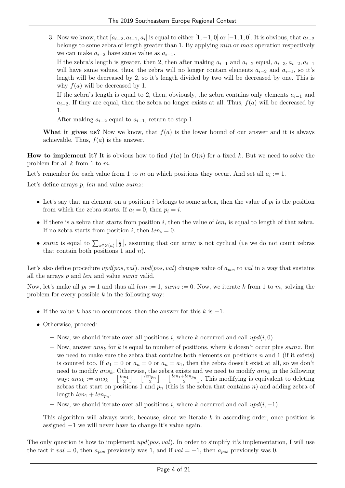3. Now we know, that  $[a_{i-2}, a_{i-1}, a_i]$  is equal to either  $[1, -1, 0]$  or  $[-1, 1, 0]$ . It is obvious, that  $a_{i-2}$ belongs to some zebra of length greater than 1. By applying min or max operation respectively we can make  $a_{i-2}$  have same value as  $a_{i-1}$ .

If the zebra's length is greater, then 2, then after making  $a_{i-1}$  and  $a_{i-2}$  equal,  $a_{i-3}, a_{i-2}, a_{i-1}$ will have same values, thus, the zebra will no longer contain elements  $a_{i-2}$  and  $a_{i-1}$ , so it's length will be decreased by 2, so it's length divided by two will be decreased by one. This is why  $f(a)$  will be decreased by 1.

If the zebra's length is equal to 2, then, obviously, the zebra contains only elements  $a_{i-1}$  and  $a_{i-2}$ . If they are equal, then the zebra no longer exists at all. Thus,  $f(a)$  will be decreased by 1.

After making  $a_{i-2}$  equal to  $a_{i-1}$ , return to step 1.

What it gives us? Now we know, that  $f(a)$  is the lower bound of our answer and it is always achievable. Thus,  $f(a)$  is the answer.

**How to implement it?** It is obvious how to find  $f(a)$  in  $O(n)$  for a fixed k. But we need to solve the problem for all  $k$  from 1 to  $m$ .

Let's remember for each value from 1 to m on which positions they occur. And set all  $a_i := 1$ .

Let's define arrays  $p$ , len and value sum z:

- Let's say that an element on a position i belongs to some zebra, then the value of  $p_i$  is the position from which the zebra starts. If  $a_i = 0$ , then  $p_i = i$ .
- If there is a zebra that starts from position i, then the value of  $len_i$  is equal to length of that zebra. If no zebra starts from position i, then  $len_i = 0$ .
- sumz is equal to  $\sum_{z \in Z(a)} \left\lfloor \frac{z}{2} \right\rfloor$  $\frac{z}{2}$ , assuming that our array is not cyclical (i.e we do not count zebras that contain both positions 1 and  $n$ ).

Let's also define procedure  $upd(pos, val)$ .  $upd(pos, val)$  changes value of  $a_{pos}$  to val in a way that sustains all the arrays p and len and value sumz valid.

Now, let's make all  $p_i := 1$  and thus all  $len_i := 1$ ,  $sumz := 0$ . Now, we iterate k from 1 to m, solving the problem for every possible  $k$  in the following way:

- If the value k has no occurences, then the answer for this k is  $-1$ .
- Otherwise, proceed:
	- Now, we should iterate over all positions i, where k occurred and call  $upd(i, 0)$ .
	- Now, answer  $ans_k$  for k is equal to number of positions, where k doesn't occur plus sumz. But we need to make sure the zebra that contains both elements on positions  $n$  and 1 (if it exists) is counted too. If  $a_1 = 0$  or  $a_n = 0$  or  $a_n = a_1$ , then the zebra doesn't exist at all, so we don't need to modify  $ans_k$ . Otherwise, the zebra exists and we need to modify  $ans_k$  in the following way:  $ans_k := ans_k - \lfloor \frac{len_1}{2} \rfloor - \lfloor \frac{len_{p_n}}{2} \rfloor + \lfloor \frac{len_1 + len_{p_n}}{2} \rfloor$ . This modifying is equivalent to deleting zebras that start on positions 1 and  $p_n$  (this is the zebra that contains n) and adding zebra of length  $len_1 + len_{p_n}$ .
	- Now, we should iterate over all positions i, where k occurred and call  $upd(i, -1)$ .

This algorithm will always work, because, since we iterate k in ascending order, once position is assigned −1 we will never have to change it's value again.

The only question is how to implement  $upd(pos, val)$ . In order to simplify it's implementation, I will use the fact if  $val = 0$ , then  $a_{pos}$  previously was 1, and if  $val = -1$ , then  $a_{pos}$  previously was 0.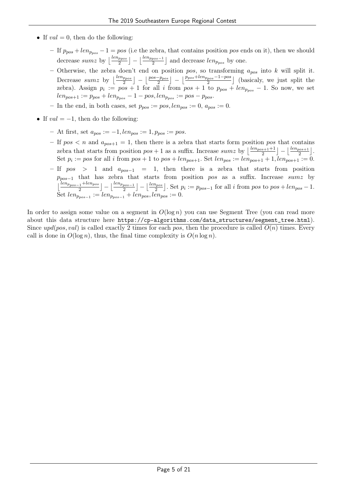- If  $val = 0$ , then do the following:
	- If  $p_{pos} + len_{p_{pos}} 1 = pos$  (i.e the zebra, that contains position pos ends on it), then we should decrease sumz by  $\lfloor \frac{len_{ppos}-1}{2} \rfloor - \lfloor \frac{len_{ppos}-1}{2} \rfloor$  and decrease  $len_{ppos}$  by one.
	- Otherwise, the zebra doen't end on position pos, so transforming  $a_{pos}$  into k will split it. Decrease sumz by  $\lfloor \frac{len_{ppos}}{2} \rfloor - \lfloor \frac{pos-p_{pos}}{2} \rfloor - \lfloor \frac{p_{pos} + len_{ppos} - 1 - pos}{2} \rfloor$  (basicaly, we just split the zebra). Assign  $p_i := pos + 1$  for all i from  $pos + 1$  to  $p_{pos} + len_{p_{pos}} - 1$ . So now, we set  $len_{pos+1} := p_{pos} + len_{p_{pos}} - 1 - pos, len_{p_{pos}} := pos - p_{pos}.$
	- In the end, in both cases, set  $p_{pos} := pos, len_{pos} := 0, a_{pos} := 0$ .
- If  $val = -1$ , then do the following:
	- At first, set  $a_{pos} := -1$ ,  $len_{pos} := 1$ ,  $p_{pos} := pos$ .
	- If  $pos < n$  and  $a_{pos+1} = 1$ , then there is a zebra that starts form position pos that contains zebra that starts from position  $pos + 1$  as a suffix. Increase  $sum \text{ by } \left\lfloor \frac{len_{pos+1}+1}{2} \right\rfloor - \left\lfloor \frac{len_{pos+1}}{2} \right\rfloor$ . Set  $p_i := pos$  for all i from  $pos + 1$  to  $pos + len_{pos+1}$ . Set  $len_{pos} := len_{pos+1} + 1, len_{pos+1} := 0$ .
	- If  $pos$  > 1 and  $a_{pos-1}$  = 1, then there is a zebra that starts from position  $p_{pos-1}$  that has zebra that starts from position pos as a suffix. Increase sumz by  $\lfloor \frac{len_{pos-1} + len_{pos}}{2} \rfloor - \lfloor \frac{len_{pos-1}}{2} \rfloor - \lfloor \frac{len_{pos}}{2} \rfloor$ . Set  $p_i := p_{pos-1}$  for all i from pos to  $pos + len_{pos} - 1$ . Set  $len_{p_{pos-1}} := len_{p_{pos}-1} + len_{pos}, len_{pos} := 0.$

In order to assign some value on a segment in  $O(\log n)$  you can use Segment Tree (you can read more about this data structure here https://cp-algorithms.com/data\_structures/segment\_tree.html). Since upd(pos, val) is called exactly 2 times for each pos, then the procedure is called  $O(n)$  times. Every call is done in  $O(\log n)$ , thus, the final time complexity is  $O(n \log n)$ .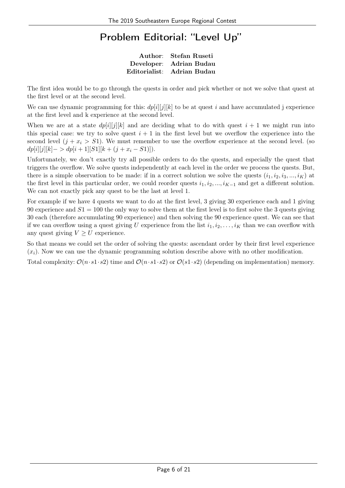#### Problem Editorial: "Level Up"

Author: Stefan Ruseti Developer: Adrian Budau Editorialist: Adrian Budau

The first idea would be to go through the quests in order and pick whether or not we solve that quest at the first level or at the second level.

We can use dynamic programming for this:  $dp[i][j][k]$  to be at quest i and have accumulated j experience at the first level and k experience at the second level.

When we are at a state  $dp[i][j][k]$  and are deciding what to do with quest  $i + 1$  we might run into this special case: we try to solve quest  $i + 1$  in the first level but we overflow the experience into the second level  $(j + x_i > S_1)$ . We must remember to use the overflow experience at the second level. (so  $dp[i][j][k]->dp[i+1][S1][k+(j+x_i-S1)]).$ 

Unfortunately, we don't exactly try all possible orders to do the quests, and especially the quest that triggers the overflow. We solve quests independently at each level in the order we process the quests. But, there is a simple observation to be made: if in a correct solution we solve the quests  $(i_1, i_2, i_3, ..., i_K)$  at the first level in this particular order, we could reorder quests  $i_1, i_2, ..., i_{K-1}$  and get a different solution. We can not exactly pick any quest to be the last at level 1.

For example if we have 4 quests we want to do at the first level, 3 giving 30 experience each and 1 giving 90 experience and  $S1 = 100$  the only way to solve them at the first level is to first solve the 3 quests giving 30 each (therefore accumulating 90 experience) and then solving the 90 experience quest. We can see that if we can overflow using a quest giving U experience from the list  $i_1, i_2, \ldots, i_K$  than we can overflow with any quest giving  $V \geq U$  experience.

So that means we could set the order of solving the quests: ascendant order by their first level experience  $(x_i)$ . Now we can use the dynamic programming solution describe above with no other modification.

Total complexity:  $\mathcal{O}(n \cdot s1 \cdot s2)$  time and  $\mathcal{O}(n \cdot s1 \cdot s2)$  or  $\mathcal{O}(s1 \cdot s2)$  (depending on implementation) memory.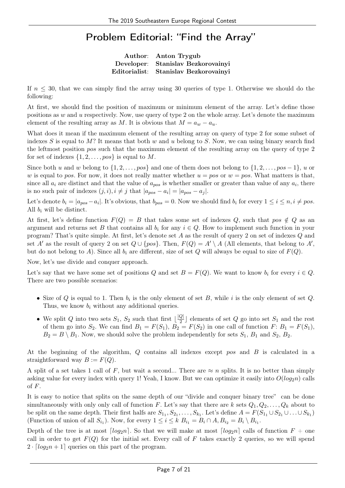#### Problem Editorial: "Find the Array"

Author: Anton Trygub Developer: Stanislav Bezkorovainyi Editorialist: Stanislav Bezkorovainyi

If  $n \leq 30$ , that we can simply find the array using 30 queries of type 1. Otherwise we should do the following:

At first, we should find the position of maximum or minimum element of the array. Let's define those positions as  $w$  and  $u$  respectively. Now, use query of type 2 on the whole array. Let's denote the maximum element of the resulting array as M. It is obvious that  $M = a_w - a_u$ .

What does it mean if the maximum element of the resulting array on query of type 2 for some subset of indexes S is equal to M? It means that both w and u belong to S. Now, we can using binary search find the leftmost position pos such that the maximum element of the resulting array on the query of type 2 for set of indexes  $\{1, 2, \ldots, pos\}$  is equal to M.

Since both u and w belong to  $\{1, 2, \ldots, pos\}$  and one of them does not belong to  $\{1, 2, \ldots, pos-1\}$ , u or w is equal to pos. For now, it does not really matter whether  $u = pos$  or  $w = pos$ . What matters is that, since all  $a_i$  are distinct and that the value of  $a_{pos}$  is whether smaller or greater than value of any  $a_i$ , there is no such pair of indexes  $(j, i), i \neq j$  that  $|a_{pos} - a_i| = |a_{pos} - a_j|$ .

Let's denote  $b_i = |a_{pos} - a_i|$ . It's obvious, that  $b_{pos} = 0$ . Now we should find  $b_i$  for every  $1 \le i \le n, i \ne pos$ . All  $b_i$  will be distinct.

At first, let's define function  $F(Q) = B$  that takes some set of indexes Q, such that pos  $\notin Q$  as an argument and returns set B that contains all  $b_i$  for any  $i \in Q$ . How to implement such function in your program? That's quite simple. At first, let's denote set A as the result of query 2 on set of indexes Q and set A' as the result of query 2 on set  $Q \cup \{pos\}$ . Then,  $F(Q) = A' \setminus A$  (All elements, that belong to A', but do not belong to A). Since all  $b_i$  are different, size of set Q will always be equal to size of  $F(Q)$ .

Now, let's use divide and conquer approach.

Let's say that we have some set of positions Q and set  $B = F(Q)$ . We want to know  $b_i$  for every  $i \in Q$ . There are two possible scenarios:

- Size of Q is equal to 1. Then  $b_i$  is the only element of set B, while i is the only element of set Q. Thus, we know  $b_i$  without any additional queries.
- We split Q into two sets  $S_1, S_2$  such that first  $\lfloor \frac{|Q|}{2} \rfloor$  $\frac{Q}{2}$  elements of set Q go into set  $S_1$  and the rest of them go into  $S_2$ . We can find  $B_1 = F(S_1)$ ,  $B_2 = F(S_2)$  in one call of function  $F: B_1 = F(S_1)$ ,  $B_2 = B \setminus B_1$ . Now, we should solve the problem independently for sets  $S_1$ ,  $B_1$  and  $S_2$ ,  $B_2$ .

At the beginning of the algorithm, Q contains all indexes except pos and B is calculated in a straightforward way  $B := F(Q)$ .

A split of a set takes 1 call of F, but wait a second... There are  $\approx n$  splits. It is no better than simply asking value for every index with query 1! Yeah, I know. But we can optimize it easily into  $O(log_2n)$  calls of F.

It is easy to notice that splits on the same depth of our "divide and conquer binary tree" can be done simultaneously with only only call of function F. Let's say that there are k sets  $Q_1, Q_2, \ldots, Q_k$  about to be split on the same depth. Their first halfs are  $S_{1_1}, S_{2_1}, \ldots, S_{k_1}$ . Let's define  $A = F(S_{1_1} \cup S_{2_1} \cup \ldots \cup S_{k_1})$ (Function of union of all  $S_{i_1}$ ). Now, for every  $1 \leq i \leq k$   $B_{i_1} = B_i \cap A$ ,  $B_{i_2} = B_i \setminus B_{i_1}$ .

Depth of the tree is at most  $\lceil log_2 n \rceil$ . So that we will make at most  $\lceil log_2 n \rceil$  calls of function  $F +$  one call in order to get  $F(Q)$  for the initial set. Every call of F takes exactly 2 queries, so we will spend  $2 \cdot \lfloor log_2 n + 1 \rfloor$  queries on this part of the program.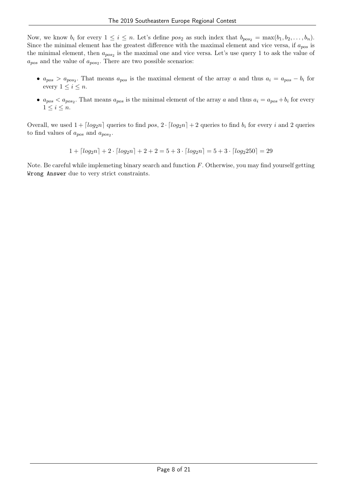Now, we know  $b_i$  for every  $1 \leq i \leq n$ . Let's define  $pos_2$  as such index that  $b_{pos_2} = max(b_1, b_2, \ldots, b_n)$ . Since the minimal element has the greatest difference with the maximal element and vice versa, if  $a_{pos}$  is the minimal element, then  $a_{pos_2}$  is the maximal one and vice versa. Let's use query 1 to ask the value of  $a_{pos}$  and the value of  $a_{pos_2}$ . There are two possible scenarios:

- $a_{pos} > a_{pos_2}$ . That means  $a_{pos}$  is the maximal element of the array a and thus  $a_i = a_{pos} b_i$  for every  $1 \leq i \leq n$ .
- $a_{pos} < a_{pos_2}$ . That means  $a_{pos}$  is the minimal element of the array a and thus  $a_i = a_{pos} + b_i$  for every  $1 \leq i \leq n$ .

Overall, we used  $1 + \lceil log_2 n \rceil$  queries to find pos,  $2 \cdot \lceil log_2 n \rceil + 2$  queries to find  $b_i$  for every i and 2 queries to find values of  $a_{pos}$  and  $a_{pos_2}$ .

 $1 + \lceil log_2 n \rceil + 2 \cdot \lceil log_2 n \rceil + 2 + 2 = 5 + 3 \cdot \lceil log_2 n \rceil = 5 + 3 \cdot \lceil log_2 250 \rceil = 29$ 

Note. Be careful while implemeting binary search and function  $F$ . Otherwise, you may find yourself getting Wrong Answer due to very strict constraints.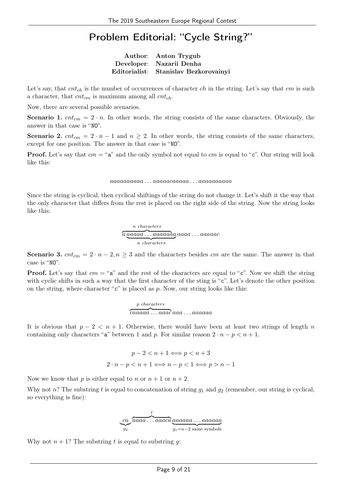#### Problem Editorial: "Cycle String?"

Author: Anton Trygub Developer: Nazarii Denha Editorialist: Stanislav Bezkorovainyi

Let's say, that  $cnt<sub>ch</sub>$  is the number of occurrences of character ch in the string. Let's say that cm is such a character, that  $cnt_{cm}$  is maximum among all  $cnt_{ch}$ .

Now, there are several possible scenarios.

**Scenario 1.**  $cnt_{cm} = 2 \cdot n$ . In other words, the string consists of the same characters. Obviously, the answer in that case is "NO".

Scenario 2.  $cnt_{cm} = 2 \cdot n - 1$  and  $n \ge 2$ . In other words, the string consists of the same characters, except for one position. The answer in that case is "NO".

**Proof.** Let's say that  $cm = "a"$  and the only symbol not equal to  $cm$  is equal to "c". Our string will look like this:

#### aaaaaaaaaa . . . aaaaacaaaaa . . . aaaaaaaaaa

Since the string is cyclical, then cyclical shiftings of the string do not change it. Let's shift it the way that the only character that differs from the rest is placed on the right side of the string. Now the string looks like this:

$$
\overbrace{a \underbrace{aaaaa \dots aaaaada}}^{n \text{ characters}} a a a a a \dots a a a a a c
$$
  
 
$$
n \text{ characters}
$$

Scenario 3.  $cnt_{cm} = 2 \cdot n - 2, n \geq 3$  and the characters besides cm are the same. The answer in that case is "NO".

**Proof.** Let's say that  $cm = "a"$  and the rest of the characters are equal to "c". Now we shift the string with cyclic shifts in such a way that the first character of the sting is "c". Let's denote the other position on the string, where character " $c$ " is placed as p. Now, our string looks like this:

$$
\overbrace{caaaaa\dots aaac}^\text{$p$ characters} a a a\dots a a a a a a
$$

It is obvious that  $p - 2 < n + 1$ . Otherwise, there would have been at least two strings of length n containing only characters "a" between 1 and p. For similar reason  $2 \cdot n - p < n + 1$ .

$$
p-2 < n+1 \Longleftrightarrow p < n+3
$$
\n
$$
2 \cdot n - p < n+1 \Longleftrightarrow n-p < 1 \Longleftrightarrow p > n-1
$$

Now we know that p is either equal to n or  $n + 1$  or  $n + 2$ .

Why not n? The substring t is equal to concatenation of string  $g_1$  and  $g_2$  (remember, our string is cyclical, so everything is fine):

$$
\underbrace{ca}_{g_2}\overbrace{aaaaa\ldots aaaca}_{g_1=n-2\text{ same symbols}}^t
$$

Why not  $n + 1$ ? The substring t is equal to substring g: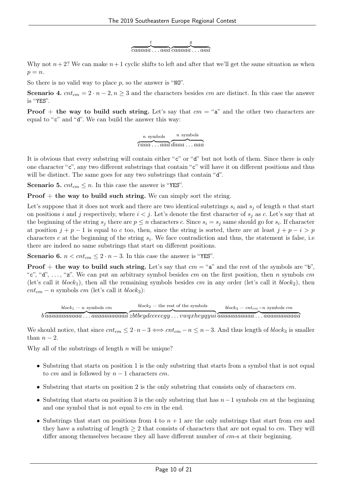t  $\overline{c}$ aaaa $\overline{a} \ldots$ aa $\overline{a}$   $\overline{c}$ aaaa $\overline{a} \ldots$ aa $\overline{a}$ g

Why not  $n+2$ ? We can make  $n+1$  cyclic shifts to left and after that we'll get the same situation as when  $p = n$ .

So there is no valid way to place  $p$ , so the answer is "NO".

Scenario 4.  $cnt_{cm} = 2 \cdot n - 2, n \geq 3$  and the characters besides cm are distinct. In this case the answer is "YES".

**Proof** + the way to build such string. Let's say that  $cm = "a"$  and the other two characters are equal to "c" and "d". We can build the answer this way:

> n symbols  $\overbrace{caaa \dots aaa} \overline{daaa \dots aaa}$ n symbols

It is obvious that every substring will contain either "c" or "d" but not both of them. Since there is only one character "c", any two different substrings that contain "c" will have it on different positions and thus will be distinct. The same goes for any two substrings that contain "d".

Scenario 5.  $cnt_{cm} \leq n$ . In this case the answer is "YES".

**Proof**  $+$  the way to build such string. We can simply sort the string.

Let's suppose that it does not work and there are two identical substrings  $s_i$  and  $s_j$  of length n that start on positions i and j respectively, where  $i < j$ . Let's denote the first character of  $s_j$  as c. Let's say that at the beginning of the string  $s_j$  there are  $p \leq n$  characters c. Since  $s_i = s_j$  same should go for  $s_i$ . If character at position  $j + p - 1$  is equal to c too, then, since the string is sorted, there are at least  $j + p - i > p$ characters c at the beginning of the string  $s_i$ . We face contradiction and thus, the statement is false, i.e. there are indeed no same substrings that start on different positions.

Scenario 6.  $n < ent_{cm} \leq 2 \cdot n - 3$ . In this case the answer is "YES".

**Proof** + the way to build such string. Let's say that  $cm = "a"$  and the rest of the symbols are "b", "c", "d", ..., "z". We can put an arbitrary symbol besides cm on the first position, then n symbols cm (let's call it  $block_1$ ), then all the remaining symbols besides cm in any order (let's call it  $block_2$ ), then  $cnt_{cm} - n$  symbols  $cm$  (let's call it  $block_3$ ):

 ${b} \overline{a}$ aaaaaaaaa $\overline{a}$   $\overline{a}$   $\overline{c}$   $\overline{b}$   $\overline{c}$   $\overline{b}$   $\overline{c}$   $\overline{c}$   $\overline{c}$   $\overline{c}$   $\overline{c}$   $\overline{c}$   $\overline{c}$   $\overline{a}$ aaa $\overline{a}$ aa $\overline{a}$ aa $\overline{a}$ aa $\overline{a}$ aa $\overline{a}$ a $\overline{a}$ a $\overline{a}$ aa $\overline{$  $block_1 - n$  symbols  $cm$  $block_2$  — the rest of the symbols  $block_3 = cnt_{cm} - n$  symbols cm

We should notice, that since  $cnt_{cm} \leq 2 \cdot n - 3 \iff cnt_{cm} - n \leq n - 3$ . And thus length of block<sub>3</sub> is smaller than  $n-2$ .

Why all of the substrings of length  $n$  will be unique?

- Substring that starts on position 1 is the only substring that starts from a symbol that is not equal to cm and is followed by  $n-1$  characters cm.
- Substring that starts on position 2 is the only substring that consists only of characters  $cm$ .
- Substring that starts on position 3 is the only substring that has  $n-1$  symbols cm at the beginning and one symbol that is not equal to cm in the end.
- Substrings that start on positions from 4 to  $n + 1$  are the only substrings that start from cm and they have a substring of length  $\geq 2$  that consists of characters that are not equal to cm. They will differ among themselves because they all have different number of  $cm$ -s at their beginning.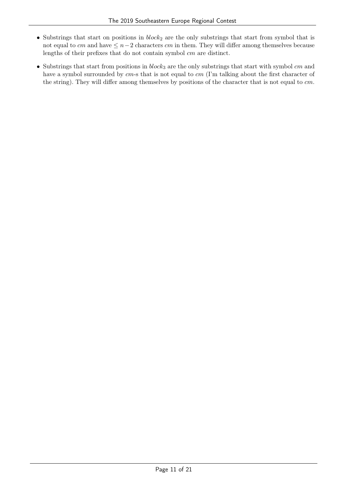- Substrings that start on positions in  $block_2$  are the only substrings that start from symbol that is not equal to cm and have  $\leq n-2$  characters cm in them. They will differ among themselves because lengths of their prefixes that do not contain symbol cm are distinct.
- Substrings that start from positions in  $block_3$  are the only substrings that start with symbol cm and have a symbol surrounded by cm-s that is not equal to cm (I'm talking about the first character of the string). They will differ among themselves by positions of the character that is not equal to cm.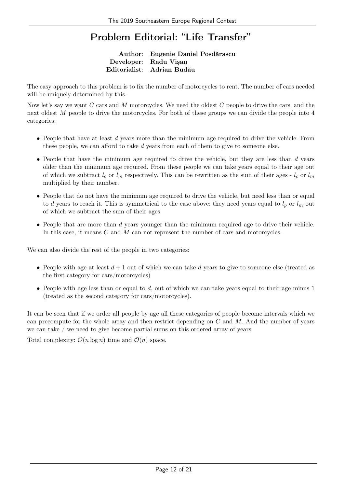### Problem Editorial: "Life Transfer"

Author: Eugenie Daniel Posdărascu Developer: Radu Visan Editorialist: Adrian Budău

The easy approach to this problem is to fix the number of motorcycles to rent. The number of cars needed will be uniquely determined by this.

Now let's say we want C cars and M motorcycles. We need the oldest C people to drive the cars, and the next oldest M people to drive the motorcycles. For both of these groups we can divide the people into 4 categories:

- $\bullet$  People that have at least  $d$  years more than the minimum age required to drive the vehicle. From these people, we can afford to take d years from each of them to give to someone else.
- People that have the minimum age required to drive the vehicle, but they are less than d years older than the minimum age required. From these people we can take years equal to their age out of which we subtract  $l_c$  or  $l_m$  respectively. This can be rewritten as the sum of their ages -  $l_c$  or  $l_m$ multiplied by their number.
- People that do not have the minimum age required to drive the vehicle, but need less than or equal to d years to reach it. This is symmetrical to the case above: they need years equal to  $l_p$  or  $l_m$  out of which we subtract the sum of their ages.
- People that are more than d years younger than the minimum required age to drive their vehicle. In this case, it means C and M can not represent the number of cars and motorcycles.

We can also divide the rest of the people in two categories:

- People with age at least  $d+1$  out of which we can take d years to give to someone else (treated as the first category for cars/motorcycles)
- People with age less than or equal to  $d$ , out of which we can take years equal to their age minus 1 (treated as the second category for cars/motorcycles).

It can be seen that if we order all people by age all these categories of people become intervals which we can precompute for the whole array and then restrict depending on  $C$  and  $M$ . And the number of years we can take / we need to give become partial sums on this ordered array of years.

Total complexity:  $\mathcal{O}(n \log n)$  time and  $\mathcal{O}(n)$  space.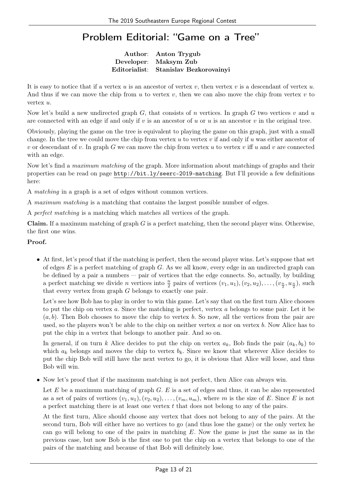#### Problem Editorial: "Game on a Tree"

Author: Anton Trygub Developer: Maksym Zub Editorialist: Stanislav Bezkorovainyi

It is easy to notice that if a vertex  $u$  is an ancestor of vertex  $v$ , then vertex  $v$  is a descendant of vertex  $u$ . And thus if we can move the chip from u to vertex v, then we can also move the chip from vertex v to vertex u.

Now let's build a new undirected graph  $G$ , that consists of n vertices. In graph  $G$  two vertices  $v$  and  $u$ are connected with an edge if and only if  $v$  is an ancestor of  $u$  or  $u$  is an ancestor  $v$  in the original tree.

Obviously, playing the game on the tree is equivalent to playing the game on this graph, just with a small change. In the tree we could move the chip from vertex u to vertex v if and only if u was either ancestor of v or descendant of v. In graph G we can move the chip from vertex u to vertex v iff u and v are connected with an edge.

Now let's find a maximum matching of the graph. More information about matchings of graphs and their properties can be read on page http://bit.ly/seerc-2019-matching. But I'll provide a few definitions here:

A matching in a graph is a set of edges without common vertices.

A maximum matching is a matching that contains the largest possible number of edges.

A perfect matching is a matching which matches all vertices of the graph.

**Claim.** If a maximum matching of graph  $G$  is a perfect matching, then the second player wins. Otherwise, the first one wins.

#### Proof.

• At first, let's proof that if the matching is perfect, then the second player wins. Let's suppose that set of edges  $E$  is a perfect matching of graph  $G$ . As we all know, every edge in an undirected graph can be defined by a pair a numbers — pair of vertices that the edge connects. So, actually, by building a perfect matching we divide *n* vertices into  $\frac{n}{2}$  pairs of vertices  $(v_1, u_1), (v_2, u_2), \ldots, (v_{\frac{n}{2}}, u_{\frac{n}{2}})$ , such that every vertex from graph G belongs to exactly one pair.

Let's see how Bob has to play in order to win this game. Let's say that on the first turn Alice chooses to put the chip on vertex a. Since the matching is perfect, vertex a belongs to some pair. Let it be  $(a, b)$ . Then Bob chooses to move the chip to vertex b. So now, all the vertices from the pair are used, so the players won't be able to the chip on neither vertex a nor on vertex b. Now Alice has to put the chip in a vertex that belongs to another pair. And so on.

In general, if on turn k Alice decides to put the chip on vertex  $a_k$ , Bob finds the pair  $(a_k, b_k)$  to which  $a_k$  belongs and moves the chip to vertex  $b_k$ . Since we know that wherever Alice decides to put the chip Bob will still have the next vertex to go, it is obvious that Alice will loose, and thus Bob will win.

• Now let's proof that if the maximum matching is not perfect, then Alice can always win.

Let  $E$  be a maximum matching of graph  $G$ .  $E$  is a set of edges and thus, it can be also represented as a set of pairs of vertices  $(v_1, u_1), (v_2, u_2), \ldots, (v_m, u_m)$ , where m is the size of E. Since E is not a perfect matching there is at least one vertex t that does not belong to any of the pairs.

At the first turn, Alice should choose any vertex that does not belong to any of the pairs. At the second turn, Bob will either have no vertices to go (and thus lose the game) or the only vertex he can go will belong to one of the pairs in matching  $E$ . Now the game is just the same as in the previous case, but now Bob is the first one to put the chip on a vertex that belongs to one of the pairs of the matching and because of that Bob will definitely lose.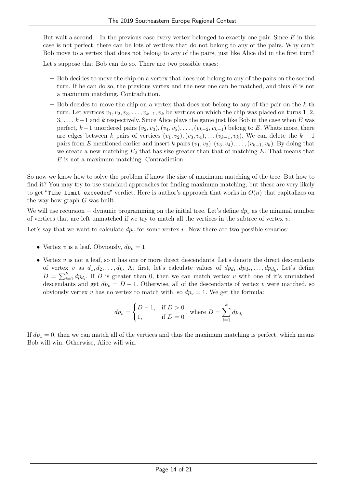But wait a second... In the previous case every vertex belonged to exactly one pair. Since  $E$  in this case is not perfect, there can be lots of vertices that do not belong to any of the pairs. Why can't Bob move to a vertex that does not belong to any of the pairs, just like Alice did in the first turn?

Let's suppose that Bob can do so. There are two possible cases:

- Bob decides to move the chip on a vertex that does not belong to any of the pairs on the second turn. If he can do so, the previous vertex and the new one can be matched, and thus  $E$  is not a maximum matching. Contradiction.
- $-$  Bob decides to move the chip on a vertex that does not belong to any of the pair on the  $k$ -th turn. Let vertices  $v_1, v_2, v_3, \ldots, v_{k-1}, v_k$  be vertices on which the chip was placed on turns 1, 2,  $3, \ldots, k-1$  and k respectively. Since Alice plays the game just like Bob in the case when E was perfect,  $k-1$  unordered pairs  $(v_2, v_3), (v_4, v_5), \ldots, (v_{k-2}, v_{k-1})$  belong to E. Whats more, there are edges between k pairs of vertices  $(v_1, v_2), (v_3, v_4), \ldots, (v_{k-1}, v_k)$ . We can delete the  $k-1$ pairs from E mentioned earlier and insert k pairs  $(v_1, v_2), (v_3, v_4), \ldots, (v_{k-1}, v_k)$ . By doing that we create a new matching  $E_2$  that has size greater than that of matching E. That means that E is not a maximum matching. Contradiction.

So now we know how to solve the problem if know the size of maximum matching of the tree. But how to find it? You may try to use standard approaches for finding maximum matching, but these are very likely to get "Time limit exceeded" verdict. Here is author's approach that works in  $O(n)$  that capitalizes on the way how graph G was built.

We will use recursion + dynamic programming on the initial tree. Let's define  $dp_v$  as the minimal number of vertices that are left unmatched if we try to match all the vertices in the subtree of vertex  $v$ .

Let's say that we want to calculate  $dp_v$  for some vertex v. Now there are two possible senarios:

- Vertex v is a leaf. Obviously,  $dp_v = 1$ .
- Vertex  $v$  is not a leaf, so it has one or more direct descendants. Let's denote the direct descendants of vertex v as  $d_1, d_2, \ldots, d_k$ . At first, let's calculate values of  $dp_{d_1}, dp_{d_2}, \ldots, dp_{d_k}$ . Let's define  $D = \sum_{i=1}^{k} dp_{d_i}$ . If D is greater than 0, then we can match vertex v with one of it's unmatched descendants and get  $dp_v = D - 1$ . Otherwise, all of the descendants of vertex v were matched, so obviously vertex v has no vertex to match with, so  $dp_v = 1$ . We get the formula:

$$
dp_v = \begin{cases} D-1, & \text{if } D > 0 \\ 1, & \text{if } D = 0 \end{cases}
$$
, where 
$$
D = \sum_{i=1}^{k} dp_{d_i}
$$

If  $dp_1 = 0$ , then we can match all of the vertices and thus the maximum matching is perfect, which means Bob will win. Otherwise, Alice will win.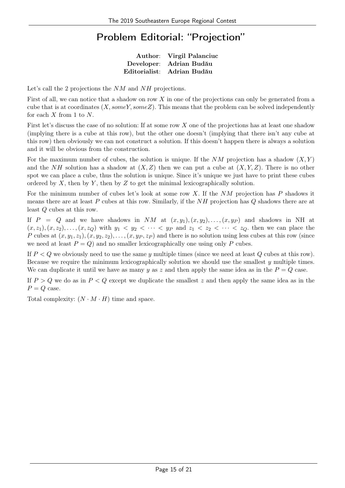## Problem Editorial: "Projection"

Author: Virgil Palanciuc Developer: Adrian Budău Editorialist: Adrian Budău

Let's call the 2 projections the NM and NH projections.

First of all, we can notice that a shadow on row X in one of the projections can only be generated from a cube that is at coordinates  $(X, someY, someZ)$ . This means that the problem can be solved independently for each  $X$  from 1 to  $N$ .

First let's discuss the case of no solution: If at some row X one of the projections has at least one shadow (implying there is a cube at this row), but the other one doesn't (implying that there isn't any cube at this row) then obviously we can not construct a solution. If this doesn't happen there is always a solution and it will be obvious from the construction.

For the maximum number of cubes, the solution is unique. If the  $NM$  projection has a shadow  $(X, Y)$ and the NH solution has a shadow at  $(X, Z)$  then we can put a cube at  $(X, Y, Z)$ . There is no other spot we can place a cube, thus the solution is unique. Since it's unique we just have to print these cubes ordered by  $X$ , then by  $Y$ , then by  $Z$  to get the minimal lexicographically solution.

For the minimum number of cubes let's look at some row  $X$ . If the  $NM$  projection has P shadows it means there are at least P cubes at this row. Similarly, if the NH projection has Q shadows there are at least Q cubes at this row.

If P = Q and we have shadows in NM at  $(x, y_1), (x, y_2), \ldots, (x, y_p)$  and shadows in NH at  $(x, z_1), (x, z_2), \ldots, (x, z_Q)$  with  $y_1 \lt y_2 \lt \cdots \lt y_P$  and  $z_1 \lt z_2 \lt \cdots \lt z_Q$  then we can place the P cubes at  $(x, y_1, z_1), (x, y_2, z_2), \ldots, (x, y_P, z_P)$  and there is no solution using less cubes at this row (since we need at least  $P = Q$ ) and no smaller lexicographically one using only P cubes.

If  $P < Q$  we obviously need to use the same y multiple times (since we need at least  $Q$  cubes at this row). Because we require the minimum lexicographically solution we should use the smallest  $y$  multiple times. We can duplicate it until we have as many y as z and then apply the same idea as in the  $P = Q$  case.

If  $P > Q$  we do as in  $P < Q$  except we duplicate the smallest z and then apply the same idea as in the  $P = Q$  case.

Total complexity:  $(N \cdot M \cdot H)$  time and space.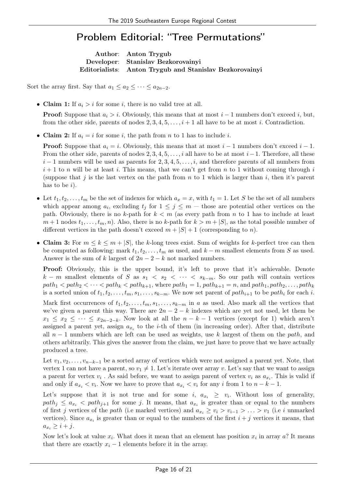#### Problem Editorial: "Tree Permutations"

Author: Anton Trygub Developer: Stanislav Bezkorovainyi Editorialists: Anton Trygub and Stanislav Bezkorovainyi

Sort the array first. Say that  $a_1 \le a_2 \le \cdots \le a_{2n-2}$ .

• Claim 1: If  $a_i > i$  for some *i*, there is no valid tree at all.

**Proof:** Suppose that  $a_i > i$ . Obviously, this means that at most  $i - 1$  numbers don't exceed i, but, from the other side, parents of nodes  $2, 3, 4, 5, \ldots, i+1$  all have to be at most i. Contradiction.

• Claim 2: If  $a_i = i$  for some i, the path from n to 1 has to include i.

**Proof:** Suppose that  $a_i = i$ . Obviously, this means that at most  $i - 1$  numbers don't exceed  $i - 1$ . From the other side, parents of nodes  $2, 3, 4, 5, \ldots, i$  all have to be at most  $i-1$ . Therefore, all these  $i-1$  numbers will be used as parents for 2, 3, 4, 5, ..., i, and therefore parents of all numbers from  $i+1$  to n will be at least i. This means, that we can't get from n to 1 without coming through i (suppose that j is the last vertex on the path from  $n$  to 1 which is larger than i, then it's parent has to be  $i$ ).

- Let  $t_1, t_2, \ldots, t_m$  be the set of indexes for which  $a_x = x$ , with  $t_1 = 1$ . Let S be the set of all numbers which appear among  $a_i$ , excluding  $t_j$  for  $1 \leq j \leq m$  – those are potential other vertices on the path. Obviously, there is no k-path for  $k < m$  (as every path from n to 1 has to include at least  $m+1$  nodes  $t_1, \ldots, t_m, n$ ). Also, there is no k-path for  $k > m + |S|$ , as the total possible number of different vertices in the path doesn't exceed  $m + |S| + 1$  (corresponding to n).
- Claim 3: For  $m \leq k \leq m + |S|$ , the k-long trees exist. Sum of weights for k-perfect tree can then be computed as following: mark  $t_1, t_2, \ldots, t_m$  as used, and  $k - m$  smallest elements from S as used. Answer is the sum of k largest of  $2n - 2 - k$  not marked numbers.

Proof: Obviously, this is the upper bound, it's left to prove that it's achievable. Denote k − m smallest elements of S as  $s_1 < s_2 < \cdots < s_{k-m}$ . So our path will contain vertices  $path_1 < path_2 < \cdots < path_k < path_{k+1}$ , where  $path_1 = 1$ ,  $path_{k+1} = n$ , and  $path_1, path_2, \ldots, path_k$ is a sorted union of  $t_1, t_2, \ldots, t_m, s_1, \ldots, s_{k-m}$ . We now set parent of  $path_{i+1}$  to be path<sub>i</sub> for each i.

Mark first occurrences of  $t_1, t_2, \ldots, t_m, s_1, \ldots, s_{k-m}$  in a as used. Also mark all the vertices that we've given a parent this way. There are  $2n - 2 - k$  indexes which are yet not used, let them be  $x_1 \leq x_2 \leq \cdots \leq x_{2n-2-k}$ . Now look at all the  $n-k-1$  vertices (except for 1) which aren't assigned a parent yet, assign  $a_{x_i}$  to the *i*-th of them (in increasing order). After that, distribute all  $n-1$  numbers which are left can be used as weights, use k largest of them on the path, and others arbitrarily. This gives the answer from the claim, we just have to prove that we have actually produced a tree.

Let  $v_1, v_2, \ldots, v_{n-k-1}$  be a sorted array of vertices which were not assigned a parent yet. Note, that vertex 1 can not have a parent, so  $v_1 \neq 1$ . Let's iterate over array v. Let's say that we want to assign a parent for vertex  $v_i$ . As said before, we want to assign parent of vertex  $v_i$  as  $a_{x_i}$ . This is valid if and only if  $a_{x_i} < v_i$ . Now we have to prove that  $a_{x_i} < v_i$  for any i from 1 to  $n - k - 1$ .

Let's suppose that it is not true and for some i,  $a_{x_i} \geq v_i$ . Without loss of generality,  $path_j \le a_{x_i}$   $\lt path_{j+1}$  for some j. It means, that  $a_{x_i}$  is greater than or equal to the numbers of first j vertices of the path (i.e marked vertices) and  $a_{x_i} \geq v_i > v_{i-1} > \ldots > v_1$  (i.e i unmarked vertices). Since  $a_{x_i}$  is greater than or equal to the numbers of the first  $i + j$  vertices it means, that  $a_{x_i} \geq i+j$ .

Now let's look at value  $x_i$ . What does it mean that an element has position  $x_i$  in array a? It means that there are exactly  $x_i - 1$  elements before it in the array.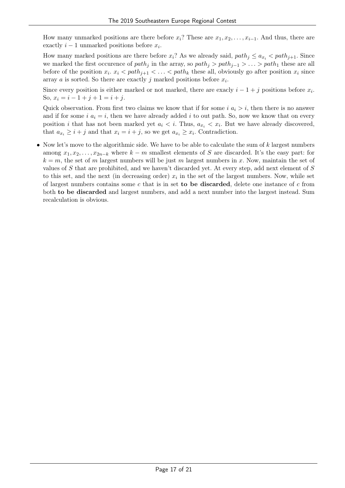How many unmarked positions are there before  $x_i$ ? These are  $x_1, x_2, \ldots, x_{i-1}$ . And thus, there are exactly  $i - 1$  unmarked positions before  $x_i$ .

How many marked positions are there before  $x_i$ ? As we already said,  $path_i \le a_{x_i} < path_{i+1}$ . Since we marked the first occurence of path<sub>j</sub> in the array, so path<sub>j</sub> > path<sub>j</sub>-1 > ... > path<sub>1</sub> these are all before of the position  $x_i$ .  $x_i < path_{j+1} < ... < path_k$  these all, obviously go after position  $x_i$  since array a is sorted. So there are exactly j marked positions before  $x_i$ .

Since every position is either marked or not marked, there are exacly  $i - 1 + j$  positions before  $x_i$ . So,  $x_i = i - 1 + j + 1 = i + j$ .

Quick observation. From first two claims we know that if for some  $i \ a_i > i$ , then there is no answer and if for some  $i \ a_i = i$ , then we have already added i to out path. So, now we know that on every position *i* that has not been marked yet  $a_i < i$ . Thus,  $a_{x_i} < x_i$ . But we have already discovered, that  $a_{x_i} \geq i + j$  and that  $x_i = i + j$ , so we get  $a_{x_i} \geq x_i$ . Contradiction.

• Now let's move to the algorithmic side. We have to be able to calculate the sum of  $k$  largest numbers among  $x_1, x_2, \ldots, x_{2n-k}$  where  $k - m$  smallest elements of S are discarded. It's the easy part: for  $k = m$ , the set of m largest numbers will be just m largest numbers in x. Now, maintain the set of values of S that are prohibited, and we haven't discarded yet. At every step, add next element of S to this set, and the next (in decreasing order)  $x_i$  in the set of the largest numbers. Now, while set of largest numbers contains some c that is in set to be discarded, delete one instance of c from both to be discarded and largest numbers, and add a next number into the largest instead. Sum recalculation is obvious.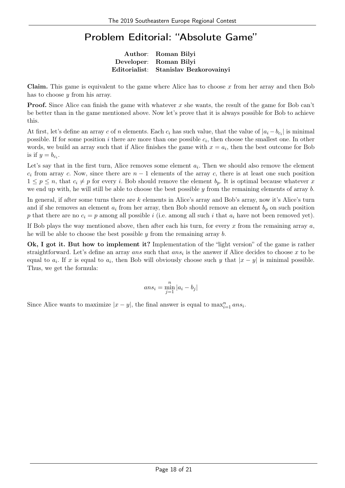#### Problem Editorial: "Absolute Game"

Author: Roman Bilyi Developer: Roman Bilyi Editorialist: Stanislav Bezkorovainyi

**Claim.** This game is equivalent to the game where Alice has to choose  $x$  from her array and then Bob has to choose *y* from his array.

**Proof.** Since Alice can finish the game with whatever x she wants, the result of the game for Bob can't be better than in the game mentioned above. Now let's prove that it is always possible for Bob to achieve this.

At first, let's define an array c of n elements. Each  $c_i$  has such value, that the value of  $|a_i - b_{c_i}|$  is minimal possible. If for some position i there are more than one possible  $c_i$ , then choose the smallest one. In other words, we build an array such that if Alice finishes the game with  $x = a_i$ , then the best outcome for Bob is if  $y = b_{c_i}$ .

Let's say that in the first turn, Alice removes some element  $a_i$ . Then we should also remove the element  $c_i$  from array c. Now, since there are  $n-1$  elements of the array c, there is at least one such position  $1 \leq p \leq n$ , that  $c_i \neq p$  for every i. Bob should remove the element  $b_p$ . It is optimal because whatever x we end up with, he will still be able to choose the best possible  $y$  from the remaining elements of array  $b$ .

In general, if after some turns there are k elements in Alice's array and Bob's array, now it's Alice's turn and if she removes an element  $a_i$  from her array, then Bob should remove an element  $b_p$  on such position p that there are no  $c_i = p$  among all possible i (i.e. among all such i that  $a_i$  have not been removed yet).

If Bob plays the way mentioned above, then after each his turn, for every  $x$  from the remaining array  $a$ , he will be able to choose the best possible  $\gamma$  from the remaining array b.

Ok, I got it. But how to implement it? Implementation of the "light version" of the game is rather straightforward. Let's define an array ans such that  $ans_i$  is the answer if Alice decides to choose x to be equal to  $a_i$ . If x is equal to  $a_i$ , then Bob will obviously choose such y that  $|x - y|$  is minimal possible. Thus, we get the formula:

$$
ans_i = \min_{j=1}^n |a_i - b_j|
$$

Since Alice wants to maximize  $|x - y|$ , the final answer is equal to  $\max_{i=1}^{n} ans_i$ .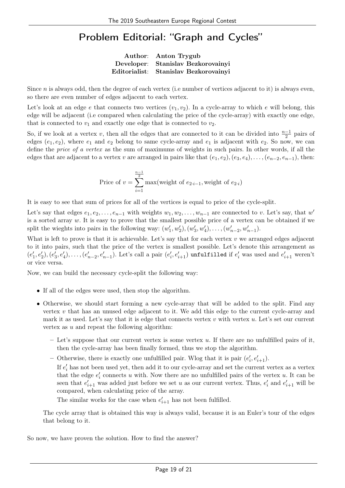#### Problem Editorial: "Graph and Cycles"

| Author: Anton Trygub                  |
|---------------------------------------|
| Developer: Stanislav Bezkorovainyi    |
| Editorialist: Stanislav Bezkorovainyi |

Since  $n$  is always odd, then the degree of each vertex (i.e number of vertices adjacent to it) is always even, so there are even number of edges adjacent to each vertex.

Let's look at an edge e that connects two vertices  $(v_1, v_2)$ . In a cycle-array to which e will belong, this edge will be adjacent (i.e compared when calculating the price of the cycle-array) with exactly one edge, that is connected to  $v_1$  and exactly one edge that is connected to  $v_2$ .

So, if we look at a vertex v, then all the edges that are connected to it can be divided into  $\frac{n-1}{2}$  pairs of edges  $(e_1, e_2)$ , where  $e_1$  and  $e_2$  belong to same cycle-array and  $e_1$  is adjacent with  $e_2$ . So now, we can define the price of a vertex as the sum of maximums of weights in such pairs. In other words, if all the edges that are adjacent to a vertex v are arranged in pairs like that  $(e_1, e_2), (e_3, e_4), \ldots, (e_{n-2}, e_{n-1}),$  then:

Price of 
$$
v = \sum_{i=1}^{\frac{n-1}{2}} \max(\text{weight of } e_{2 \cdot i-1}, \text{weight of } e_{2 \cdot i})
$$

It is easy to see that sum of prices for all of the vertices is equal to price of the cycle-split.

Let's say that edges  $e_1, e_2, \ldots, e_{n-1}$  with weights  $w_1, w_2, \ldots, w_{n-1}$  are connected to v. Let's say, that w<sup>'</sup> is a sorted array  $w$ . It is easy to prove that the smallest possible price of a vertex can be obtained if we split the wieghts into pairs in the following way:  $(w'_1, w'_2), (w'_3, w'_4), \ldots, (w'_{n-2}, w'_{n-1}).$ 

What is left to prove is that it is achievable. Let's say that for each vertex  $v$  we arranged edges adjacent to it into pairs, such that the price of the vertex is smallest possible. Let's denote this arrangement as  $(e'_1,e'_2),(e'_3,e'_4),\ldots,(e'_{n-2},e'_{n-1})$ . Let's call a pair  $(e'_i,e'_{i+1})$  unfulfilled if  $e'_i$  was used and  $e'_{i+1}$  weren't or vice versa.

Now, we can build the necessary cycle-split the following way:

- If all of the edges were used, then stop the algorithm.
- Otherwise, we should start forming a new cycle-array that will be added to the split. Find any vertex  $v$  that has an unused edge adjacent to it. We add this edge to the current cycle-array and mark it as used. Let's say that it is edge that connects vertex  $v$  with vertex  $u$ . Let's set our current vertex as  $u$  and repeat the following algorithm:
	- $-$  Let's suppose that our current vertex is some vertex u. If there are no unfulfilled pairs of it, then the cycle-array has been finally formed, thus we stop the algorithm.
	- Otherwise, there is exactly one unfulfilled pair. Wlog that it is pair  $(e'_i, e'_{i+1})$ .

If  $e'_{i}$  has not been used yet, then add it to our cycle-array and set the current vertex as a vertex that the edge  $e'_i$  connects u with. Now there are no unfulfilled pairs of the vertex u. It can be seen that  $e'_{i+1}$  was added just before we set u as our current vertex. Thus,  $e'_{i}$  and  $e'_{i+1}$  will be compared, when calculating price of the array.

The similar works for the case when  $e'_{i+1}$  has not been fulfilled.

The cycle array that is obtained this way is always valid, because it is an Euler's tour of the edges that belong to it.

So now, we have proven the solution. How to find the answer?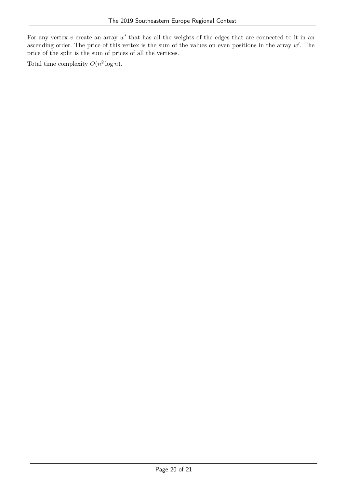For any vertex  $v$  create an array  $w'$  that has all the weights of the edges that are connected to it in an ascending order. The price of this vertex is the sum of the values on even positions in the array  $w'$ . The price of the split is the sum of prices of all the vertices.

Total time complexity  $O(n^2 \log n)$ .